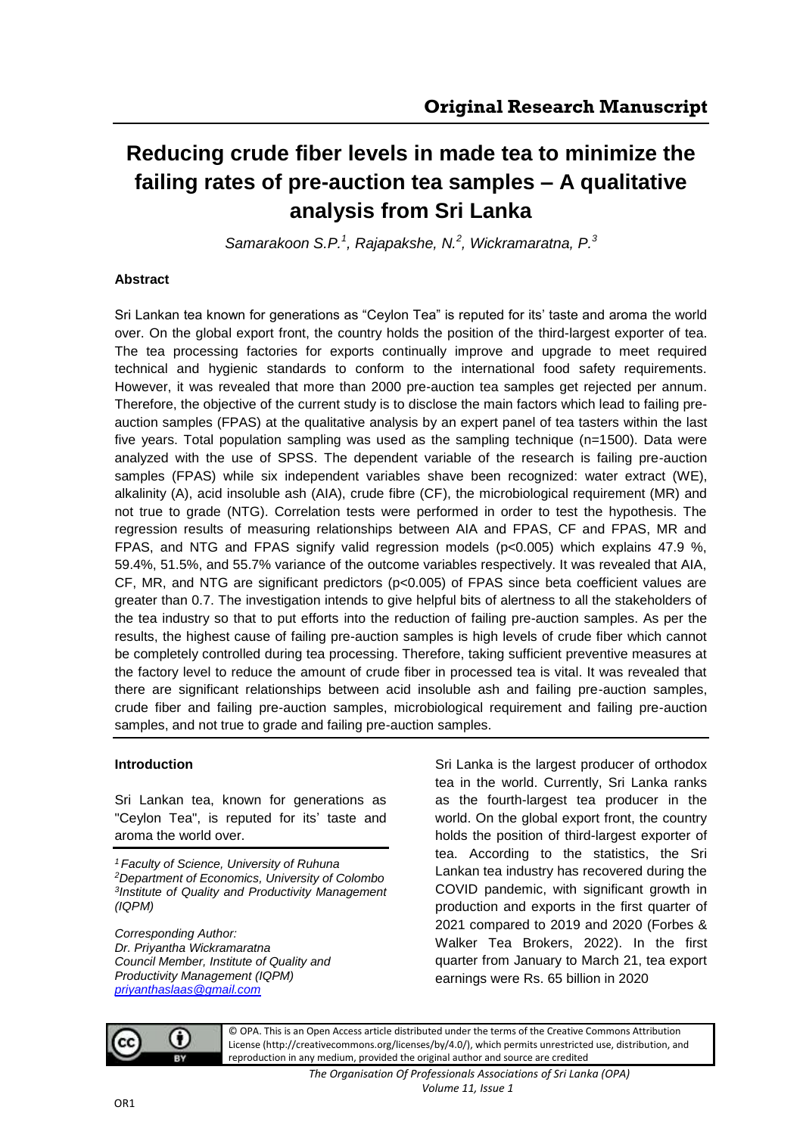# **Reducing crude fiber levels in made tea to minimize the failing rates of pre-auction tea samples – A qualitative analysis from Sri Lanka**

*Samarakoon S.P. 1 , Rajapakshe, N.<sup>2</sup> , Wickramaratna, P.<sup>3</sup>*

### **Abstract**

Sri Lankan tea known for generations as "Ceylon Tea" is reputed for its' taste and aroma the world over. On the global export front, the country holds the position of the third-largest exporter of tea. The tea processing factories for exports continually improve and upgrade to meet required technical and hygienic standards to conform to the international food safety requirements. However, it was revealed that more than 2000 pre-auction tea samples get rejected per annum. Therefore, the objective of the current study is to disclose the main factors which lead to failing preauction samples (FPAS) at the qualitative analysis by an expert panel of tea tasters within the last five years. Total population sampling was used as the sampling technique (n=1500). Data were analyzed with the use of SPSS. The dependent variable of the research is failing pre-auction samples (FPAS) while six independent variables shave been recognized: water extract (WE), alkalinity (A), acid insoluble ash (AIA), crude fibre (CF), the microbiological requirement (MR) and not true to grade (NTG). Correlation tests were performed in order to test the hypothesis. The regression results of measuring relationships between AIA and FPAS, CF and FPAS, MR and FPAS, and NTG and FPAS signify valid regression models (p<0.005) which explains 47.9 %, 59.4%, 51.5%, and 55.7% variance of the outcome variables respectively. It was revealed that AIA, CF, MR, and NTG are significant predictors ( $p<0.005$ ) of FPAS since beta coefficient values are greater than 0.7. The investigation intends to give helpful bits of alertness to all the stakeholders of the tea industry so that to put efforts into the reduction of failing pre-auction samples. As per the results, the highest cause of failing pre-auction samples is high levels of crude fiber which cannot be completely controlled during tea processing. Therefore, taking sufficient preventive measures at the factory level to reduce the amount of crude fiber in processed tea is vital. It was revealed that there are significant relationships between acid insoluble ash and failing pre-auction samples, crude fiber and failing pre-auction samples, microbiological requirement and failing pre-auction samples, and not true to grade and failing pre-auction samples.

## **Introduction**

Sri Lankan tea, known for generations as "Ceylon Tea", is reputed for its' taste and aroma the world over.

*Faculty of Science, University of Ruhuna Department of Economics, University of Colombo Institute of Quality and Productivity Management (IQPM)*

*Corresponding Author: Dr. Priyantha Wickramaratna Council Member, Institute of Quality and Productivity Management (IQPM) [priyanthaslaas@gmail.com](mailto:priyanthaslaas@gmail.com)*

Sri Lanka is the largest producer of orthodox tea in the world. Currently, Sri Lanka ranks as the fourth-largest tea producer in the world. On the global export front, the country holds the position of third-largest exporter of tea. According to the statistics, the Sri Lankan tea industry has recovered during the COVID pandemic, with significant growth in production and exports in the first quarter of 2021 compared to 2019 and 2020 (Forbes & Walker Tea Brokers, 2022). In the first quarter from January to March 21, tea export earnings were Rs. 65 billion in 2020



© OPA. This is an Open Access article distributed under the terms of the Creative Commons Attribution License (http://creativecommons.org/licenses/by/4.0/), which permits unrestricted use, distribution, and reproduction in any medium, provided the original author and source are credited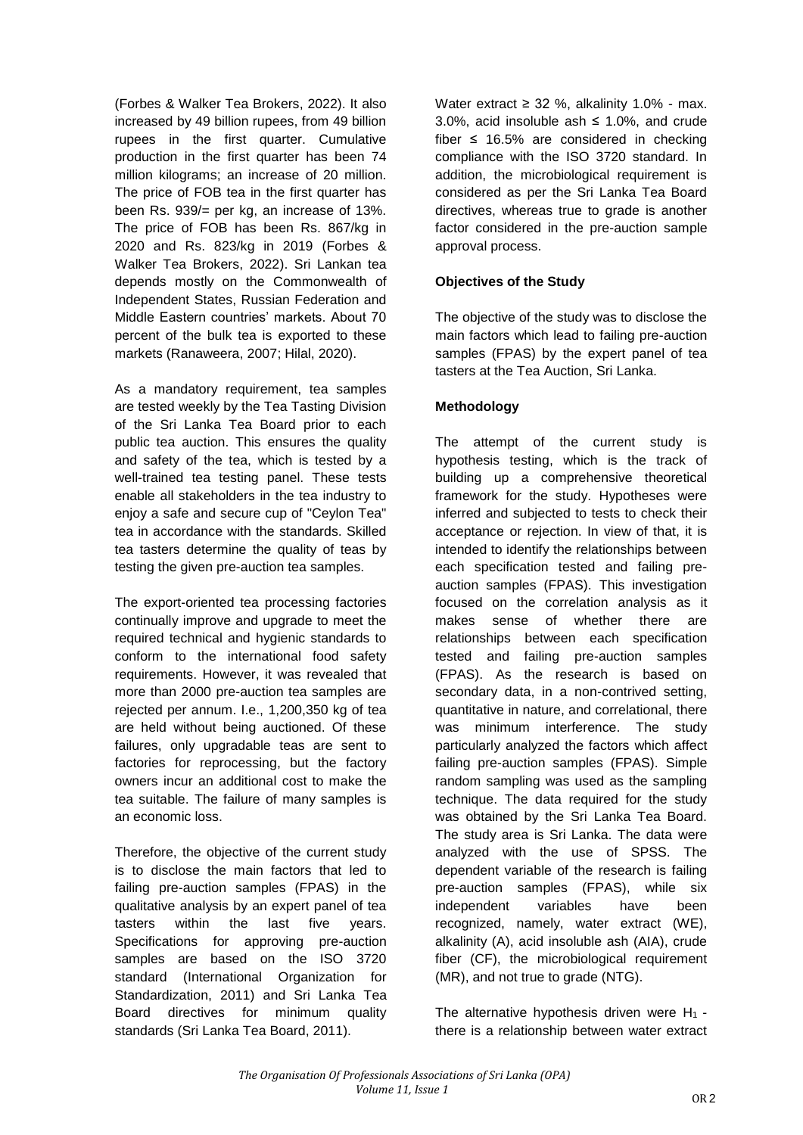(Forbes & Walker Tea Brokers, 2022). It also increased by 49 billion rupees, from 49 billion rupees in the first quarter. Cumulative production in the first quarter has been 74 million kilograms; an increase of 20 million. The price of FOB tea in the first quarter has been Rs. 939/= per kg, an increase of 13%. The price of FOB has been Rs. 867/kg in 2020 and Rs. 823/kg in 2019 (Forbes & Walker Tea Brokers, 2022). Sri Lankan tea depends mostly on the Commonwealth of Independent States, Russian Federation and Middle Eastern countries' markets. About 70 percent of the bulk tea is exported to these markets (Ranaweera, 2007; Hilal, 2020).

As a mandatory requirement, tea samples are tested weekly by the Tea Tasting Division of the Sri Lanka Tea Board prior to each public tea auction. This ensures the quality and safety of the tea, which is tested by a well-trained tea testing panel. These tests enable all stakeholders in the tea industry to enjoy a safe and secure cup of "Ceylon Tea" tea in accordance with the standards. Skilled tea tasters determine the quality of teas by testing the given pre-auction tea samples.

The export-oriented tea processing factories continually improve and upgrade to meet the required technical and hygienic standards to conform to the international food safety requirements. However, it was revealed that more than 2000 pre-auction tea samples are rejected per annum. I.e., 1,200,350 kg of tea are held without being auctioned. Of these failures, only upgradable teas are sent to factories for reprocessing, but the factory owners incur an additional cost to make the tea suitable. The failure of many samples is an economic loss.

Therefore, the objective of the current study is to disclose the main factors that led to failing pre-auction samples (FPAS) in the qualitative analysis by an expert panel of tea tasters within the last five years. Specifications for approving pre-auction samples are based on the ISO 3720 standard (International Organization for Standardization, 2011) and Sri Lanka Tea Board directives for minimum quality standards (Sri Lanka Tea Board, 2011).

Water extract  $\geq$  32 %, alkalinity 1.0% - max. 3.0%, acid insoluble ash  $\leq$  1.0%, and crude fiber  $\leq$  16.5% are considered in checking compliance with the ISO 3720 standard. In addition, the microbiological requirement is considered as per the Sri Lanka Tea Board directives, whereas true to grade is another factor considered in the pre-auction sample approval process.

## **Objectives of the Study**

The objective of the study was to disclose the main factors which lead to failing pre-auction samples (FPAS) by the expert panel of tea tasters at the Tea Auction, Sri Lanka.

# **Methodology**

The attempt of the current study is hypothesis testing, which is the track of building up a comprehensive theoretical framework for the study. Hypotheses were inferred and subjected to tests to check their acceptance or rejection. In view of that, it is intended to identify the relationships between each specification tested and failing preauction samples (FPAS). This investigation focused on the correlation analysis as it makes sense of whether there are relationships between each specification tested and failing pre-auction samples (FPAS). As the research is based on secondary data, in a non-contrived setting, quantitative in nature, and correlational, there was minimum interference. The study particularly analyzed the factors which affect failing pre-auction samples (FPAS). Simple random sampling was used as the sampling technique. The data required for the study was obtained by the Sri Lanka Tea Board. The study area is Sri Lanka. The data were analyzed with the use of SPSS. The dependent variable of the research is failing pre-auction samples (FPAS), while six independent variables have been recognized, namely, water extract (WE), alkalinity (A), acid insoluble ash (AIA), crude fiber (CF), the microbiological requirement (MR), and not true to grade (NTG).

The alternative hypothesis driven were  $H_1$  there is a relationship between water extract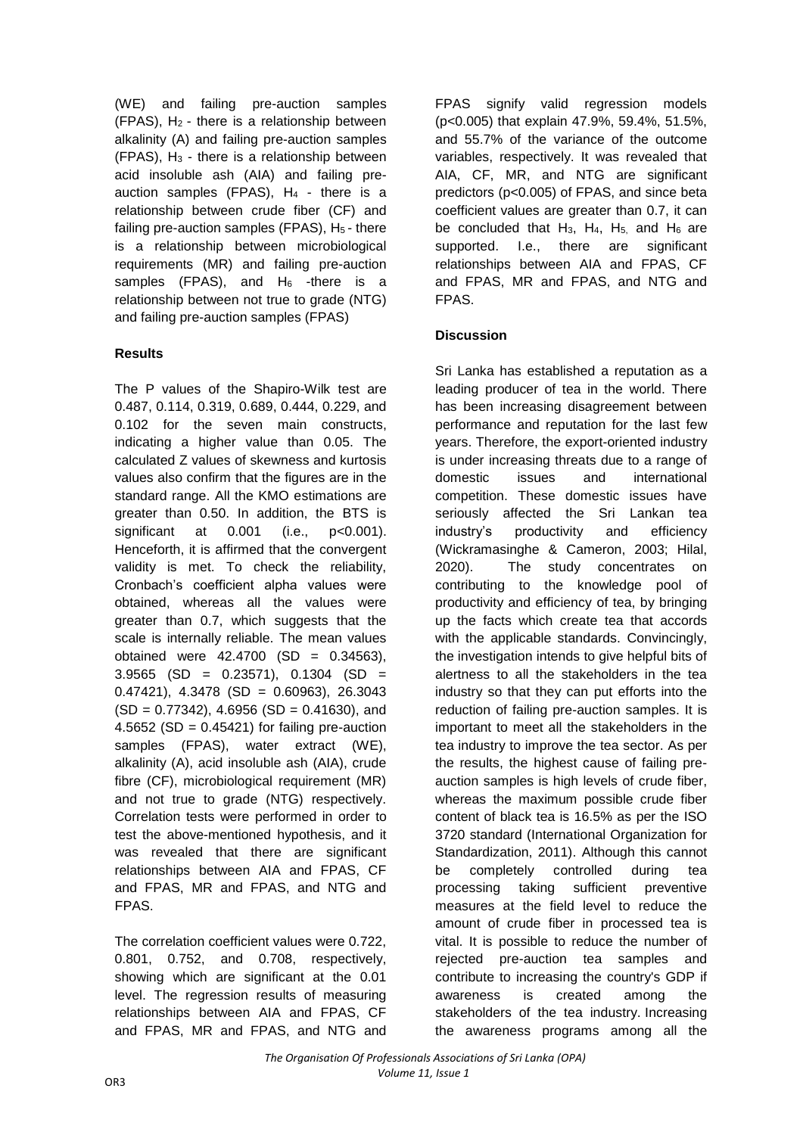(WE) and failing pre-auction samples (FPAS),  $H_2$  - there is a relationship between alkalinity (A) and failing pre-auction samples  $(FPAS)$ ,  $H_3$  - there is a relationship between acid insoluble ash (AIA) and failing preauction samples (FPAS),  $H_4$  - there is a relationship between crude fiber (CF) and failing pre-auction samples (FPAS),  $H_5$  - there is a relationship between microbiological requirements (MR) and failing pre-auction samples (FPAS), and  $H_6$  -there is a relationship between not true to grade (NTG) and failing pre-auction samples (FPAS)

# **Results**

The P values of the Shapiro-Wilk test are 0.487, 0.114, 0.319, 0.689, 0.444, 0.229, and 0.102 for the seven main constructs, indicating a higher value than 0.05. The calculated Z values of skewness and kurtosis values also confirm that the figures are in the standard range. All the KMO estimations are greater than 0.50. In addition, the BTS is significant at 0.001 (i.e., p<0.001). Henceforth, it is affirmed that the convergent validity is met. To check the reliability, Cronbach's coefficient alpha values were obtained, whereas all the values were greater than 0.7, which suggests that the scale is internally reliable. The mean values obtained were  $42.4700$  (SD = 0.34563),  $3.9565$  (SD = 0.23571), 0.1304 (SD =  $0.47421$ ,  $4.3478$  (SD = 0.60963), 26.3043  $(SD = 0.77342)$ , 4.6956  $(SD = 0.41630)$ , and 4.5652 (SD =  $0.45421$ ) for failing pre-auction samples (FPAS), water extract (WE), alkalinity (A), acid insoluble ash (AIA), crude fibre (CF), microbiological requirement (MR) and not true to grade (NTG) respectively. Correlation tests were performed in order to test the above-mentioned hypothesis, and it was revealed that there are significant relationships between AIA and FPAS, CF and FPAS, MR and FPAS, and NTG and FPAS.

The correlation coefficient values were 0.722, 0.801, 0.752, and 0.708, respectively, showing which are significant at the 0.01 level. The regression results of measuring relationships between AIA and FPAS, CF and FPAS, MR and FPAS, and NTG and

FPAS signify valid regression models (p<0.005) that explain 47.9%, 59.4%, 51.5%, and 55.7% of the variance of the outcome variables, respectively. It was revealed that AIA, CF, MR, and NTG are significant predictors (p<0.005) of FPAS, and since beta coefficient values are greater than 0.7, it can be concluded that  $H_3$ ,  $H_4$ ,  $H_5$ , and  $H_6$  are supported. I.e., there are significant relationships between AIA and FPAS, CF and FPAS, MR and FPAS, and NTG and FPAS.

# **Discussion**

Sri Lanka has established a reputation as a leading producer of tea in the world. There has been increasing disagreement between performance and reputation for the last few years. Therefore, the export-oriented industry is under increasing threats due to a range of domestic issues and international competition. These domestic issues have seriously affected the Sri Lankan tea industry's productivity and efficiency (Wickramasinghe & Cameron, 2003; Hilal, 2020). The study concentrates on contributing to the knowledge pool of productivity and efficiency of tea, by bringing up the facts which create tea that accords with the applicable standards. Convincingly, the investigation intends to give helpful bits of alertness to all the stakeholders in the tea industry so that they can put efforts into the reduction of failing pre-auction samples. It is important to meet all the stakeholders in the tea industry to improve the tea sector. As per the results, the highest cause of failing preauction samples is high levels of crude fiber, whereas the maximum possible crude fiber content of black tea is 16.5% as per the ISO 3720 standard (International Organization for Standardization, 2011). Although this cannot be completely controlled during tea processing taking sufficient preventive measures at the field level to reduce the amount of crude fiber in processed tea is vital. It is possible to reduce the number of rejected pre-auction tea samples and contribute to increasing the country's GDP if awareness is created among the stakeholders of the tea industry. Increasing the awareness programs among all the